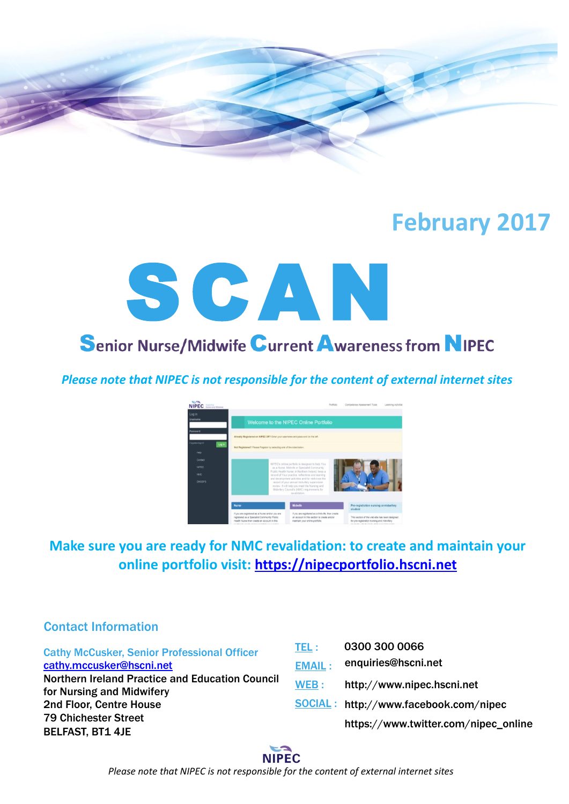

# **February 2017**



*Please note that NIPEC is not responsible for the content of external internet sites*



# **Make sure you are ready for NMC revalidation: to create and maintain your online portfolio visit: [https://nipecportfolio.hscni.net](https://nipecportfolio.hscni.net/)**

0300 300 0066

# Contact Information

| <b>Cathy McCusker, Senior Professional Officer</b>                           | TEL :         | 0300 300 0066                           |
|------------------------------------------------------------------------------|---------------|-----------------------------------------|
| cathy.mccusker@hscni.net                                                     | <b>EMAIL:</b> | enquiries@hscni.net                     |
| Northern Ireland Practice and Education Council<br>for Nursing and Midwifery | WEB:          | http://www.nipec.hscni.net              |
| 2nd Floor, Centre House                                                      |               | $SOCIAL: http://www.facebook.com/nipec$ |
| <b>79 Chichester Street</b>                                                  |               | https://www.twitter.com/nipec_online    |
| <b>BELFAST, BT1 4JE</b>                                                      |               |                                         |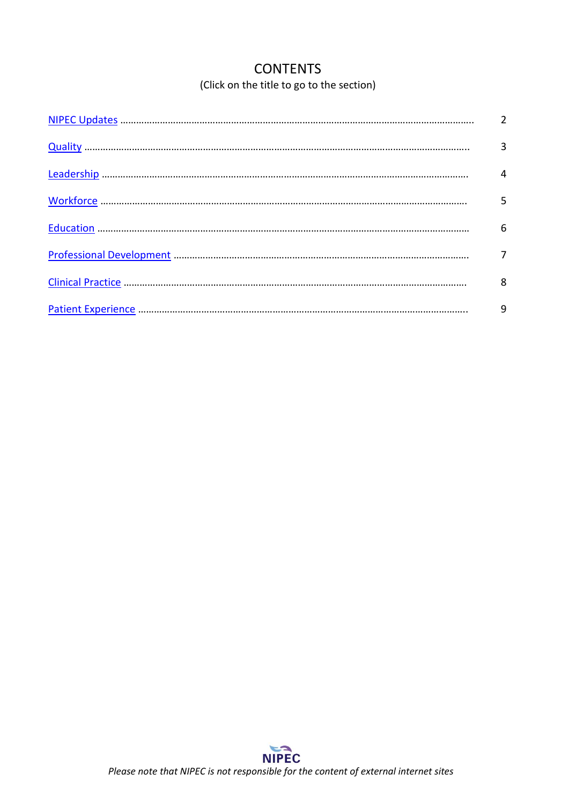# **CONTENTS** (Click on the title to go to the section)

<span id="page-1-0"></span>

| $\overline{2}$ |
|----------------|
| 3              |
| 4              |
| 5              |
| 6              |
|                |
| 8              |
| 9              |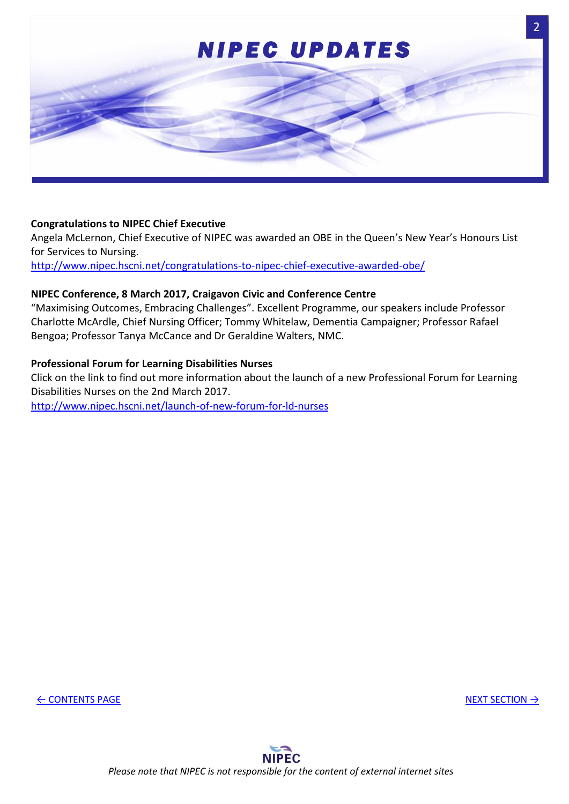<span id="page-2-0"></span>

#### **Congratulations to NIPEC Chief Executive**

Angela McLernon, Chief Executive of NIPEC was awarded an OBE in the Queen's New Year's Honours List for Services to Nursing.

<http://www.nipec.hscni.net/congratulations-to-nipec-chief-executive-awarded-obe/>

#### **NIPEC Conference, 8 March 2017, Craigavon Civic and Conference Centre**

"Maximising Outcomes, Embracing Challenges". Excellent Programme, our speakers include Professor Charlotte McArdle, Chief Nursing Officer; Tommy Whitelaw, Dementia Campaigner; Professor Rafael Bengoa; Professor Tanya McCance and Dr Geraldine Walters, NMC.

#### **Professional Forum for Learning Disabilities Nurses**

Click on the link to find out more information about the launch of a new Professional Forum for Learning Disabilities Nurses on the 2nd March 2017. <http://www.nipec.hscni.net/launch-of-new-forum-for-ld-nurses>

← [CONTENTS PAGE](#page-1-0) [NEXT SECTION](#page-3-0) → NEXT SECTION → NEXT SECTION → NEXT SECTION → NEXT SECTION → NEXT SECTION → NEXT SECTION → NEXT SECTION → NEXT SECTION → NEXT SECTION → NEXT SECTION → NEXT SECTION → NEXT SECTION → NEXT SECTI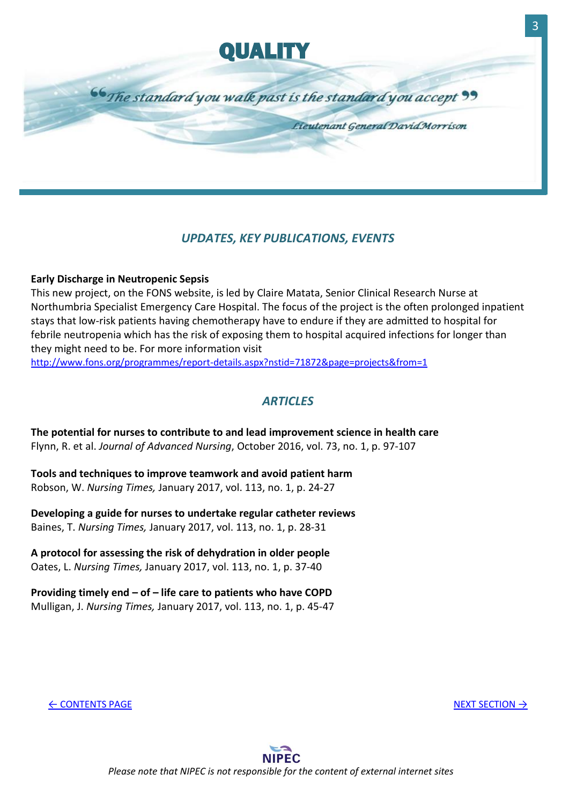

## <span id="page-3-0"></span>*UPDATES, KEY PUBLICATIONS, EVENTS*

#### **Early Discharge in Neutropenic Sepsis**

This new project, on the FONS website, is led by Claire Matata, Senior Clinical Research Nurse at Northumbria Specialist Emergency Care Hospital. The focus of the project is the often prolonged inpatient stays that low-risk patients having chemotherapy have to endure if they are admitted to hospital for febrile neutropenia which has the risk of exposing them to hospital acquired infections for longer than they might need to be. For more information visit

<http://www.fons.org/programmes/report-details.aspx?nstid=71872&page=projects&from=1>

### *ARTICLES*

**The potential for nurses to contribute to and lead improvement science in health care**  Flynn, R. et al. *Journal of Advanced Nursing*, October 2016, vol. 73, no. 1, p. 97-107

**Tools and techniques to improve teamwork and avoid patient harm** Robson, W. *Nursing Times,* January 2017, vol. 113, no. 1, p. 24-27

**Developing a guide for nurses to undertake regular catheter reviews**  Baines, T. *Nursing Times,* January 2017, vol. 113, no. 1, p. 28-31

**A protocol for assessing the risk of dehydration in older people**  Oates, L. *Nursing Times,* January 2017, vol. 113, no. 1, p. 37-40

**Providing timely end – of – life care to patients who have COPD** Mulligan, J. *Nursing Times,* January 2017, vol. 113, no. 1, p. 45-47

← [CONTENTS PAGE](#page-1-0) [NEXT SECTION](#page-4-0) → NEXT SECTION → NEXT SECTION → NEXT SECTION → NEXT SECTION → NEXT SECTION → NEXT SECTION → NEXT SECTION → NEXT SECTION → NEXT SECTION → NEXT SECTION → NEXT SECTION → NEXT SECTION → NEXT SECTI

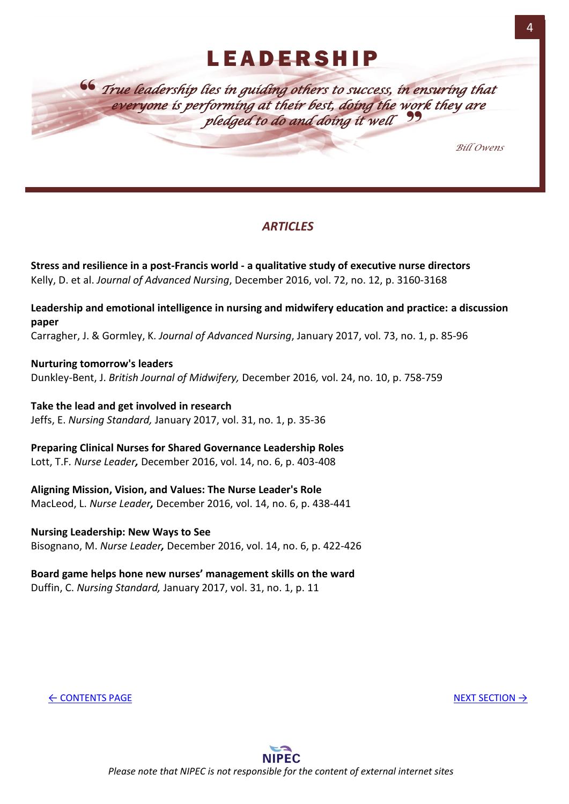<span id="page-4-0"></span>" *True leadership lies in guiding others to success, in ensuring that*  everyone is performing at their best, doing the work they are<br>**pledged to do and doing it well** *pledged to do and doing it well*

*Bill Owens* 

# *ARTICLES*

**Stress and resilience in a post-Francis world - a qualitative study of executive nurse directors**  Kelly, D. et al. *Journal of Advanced Nursing*, December 2016, vol. 72, no. 12, p. 3160-3168

**Leadership and emotional intelligence in nursing and midwifery education and practice: a discussion paper**

Carragher, J. & Gormley, K. *Journal of Advanced Nursing*, January 2017, vol. 73, no. 1, p. 85-96

**Nurturing tomorrow's leaders** Dunkley-Bent, J. *British Journal of Midwifery,* December 2016*,* vol. 24, no. 10, p. 758-759

**Take the lead and get involved in research** Jeffs, E. *Nursing Standard,* January 2017, vol. 31, no. 1, p. 35-36

**Preparing Clinical Nurses for Shared Governance Leadership Roles** Lott, T.F*. Nurse Leader,* December 2016, vol. 14, no. 6, p. 403-408

**Aligning Mission, Vision, and Values: The Nurse Leader's Role**  MacLeod, L. *Nurse Leader,* December 2016, vol. 14, no. 6, p. 438-441

**Nursing Leadership: New Ways to See** Bisognano, M. *Nurse Leader,* December 2016, vol. 14, no. 6, p. 422-426

#### **Board game helps hone new nurses' management skills on the ward**  Duffin, C. *Nursing Standard,* January 2017, vol. 31, no. 1, p. 11

← [CONTENTS PAGE](#page-1-0) [NEXT SECTION](#page-5-0) →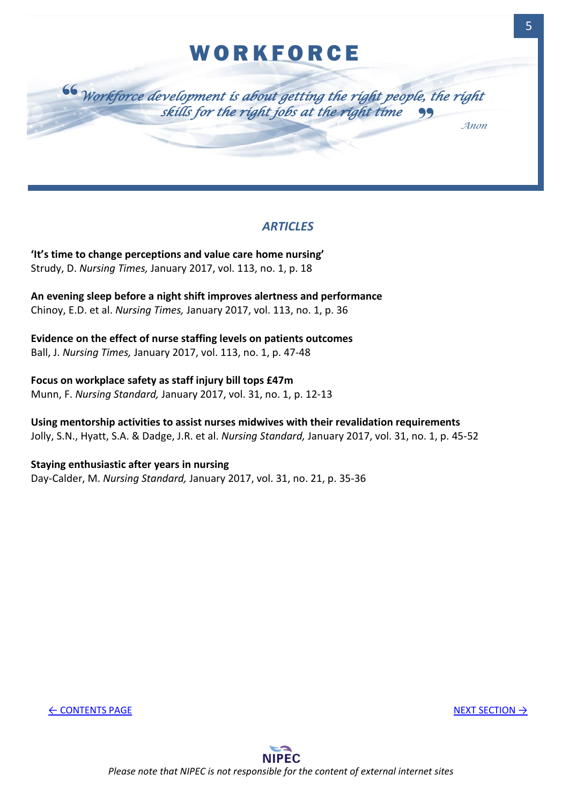# **WORKFORCE**

<span id="page-5-0"></span>

*ARTICLES*

**'It's time to change perceptions and value care home nursing'** Strudy, D. *Nursing Times,* January 2017, vol. 113, no. 1, p. 18

**An evening sleep before a night shift improves alertness and performance**  Chinoy, E.D. et al. *Nursing Times,* January 2017, vol. 113, no. 1, p. 36

**Evidence on the effect of nurse staffing levels on patients outcomes**  Ball, J. *Nursing Times,* January 2017, vol. 113, no. 1, p. 47-48

**Focus on workplace safety as staff injury bill tops £47m** Munn, F. *Nursing Standard,* January 2017, vol. 31, no. 1, p. 12-13

**Using mentorship activities to assist nurses midwives with their revalidation requirements**  Jolly, S.N., Hyatt, S.A. & Dadge, J.R. et al. *Nursing Standard,* January 2017, vol. 31, no. 1, p. 45-52

**Staying enthusiastic after years in nursing**  Day-Calder, M. *Nursing Standard,* January 2017, vol. 31, no. 21, p. 35-36

← [CONTENTS PAGE](#page-1-0) [NEXT SECTION](#page-6-0) →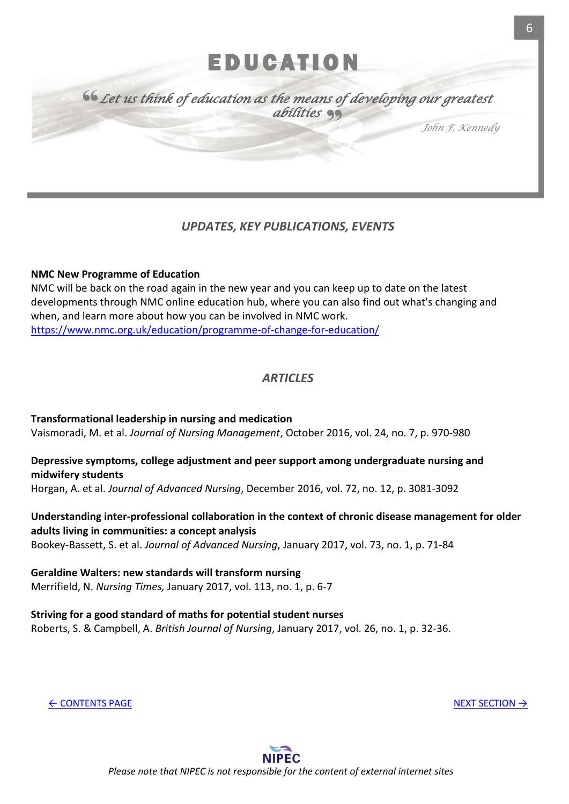# E DU CATION

<span id="page-6-0"></span>" " *Let us think of education as the means of developing our greatest abilities* 

*John F. Kennedy*

# *UPDATES, KEY PUBLICATIONS, EVENTS*

#### **NMC New Programme of Education**

NMC will be back on the road again in the new year and you can keep up to date on the latest developments through NMC online education hub, where you can also find out what's changing and when, and learn more about how you can be involved in NMC work. <https://www.nmc.org.uk/education/programme-of-change-for-education/>

### *ARTICLES*

**Transformational leadership in nursing and medication** Vaismoradi, M. et al. *Journal of Nursing Management*, October 2016, vol. 24, no. 7, p. 970-980

#### **Depressive symptoms, college adjustment and peer support among undergraduate nursing and midwifery students**

Horgan, A. et al. *Journal of Advanced Nursing*, December 2016, vol. 72, no. 12, p. 3081-3092

# **Understanding inter-professional collaboration in the context of chronic disease management for older adults living in communities: a concept analysis**

Bookey-Bassett, S. et al. *Journal of Advanced Nursing*, January 2017, vol. 73, no. 1, p. 71-84

#### **Geraldine Walters: new standards will transform nursing**  Merrifield, N. *Nursing Times,* January 2017, vol. 113, no. 1, p. 6-7

**Striving for a good standard of maths for potential student nurses**  Roberts, S. & Campbell, A. *British Journal of Nursing*, January 2017, vol. 26, no. 1, p. 32-36.

← [CONTENTS PAGE](#page-1-0) [NEXT SECTION](#page-7-0) →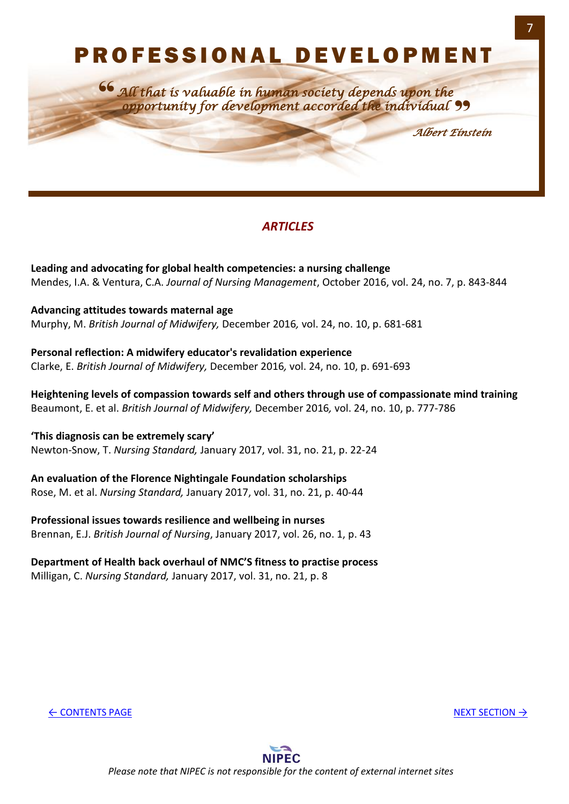# P R O F E S S I O N A L D E V E L O P M E N T

<span id="page-7-0"></span>*All that is valuable in human society depends upon the opportunity for development accorded the individual* " "

*Albert Einstein*

# *ARTICLES*

**Leading and advocating for global health competencies: a nursing challenge** Mendes, I.A. & Ventura, C.A. *Journal of Nursing Management*, October 2016, vol. 24, no. 7, p. 843-844

**Advancing attitudes towards maternal age** Murphy, M. *British Journal of Midwifery,* December 2016*,* vol. 24, no. 10, p. 681-681

**Personal reflection: A midwifery educator's revalidation experience**  Clarke, E. *British Journal of Midwifery,* December 2016*,* vol. 24, no. 10, p. 691-693

**Heightening levels of compassion towards self and others through use of compassionate mind training** Beaumont, E. et al. *British Journal of Midwifery,* December 2016*,* vol. 24, no. 10, p. 777-786

**'This diagnosis can be extremely scary'** Newton-Snow, T. *Nursing Standard,* January 2017, vol. 31, no. 21, p. 22-24

**An evaluation of the Florence Nightingale Foundation scholarships**  Rose, M. et al. *Nursing Standard,* January 2017, vol. 31, no. 21, p. 40-44

**Professional issues towards resilience and wellbeing in nurses**  Brennan, E.J. *British Journal of Nursing*, January 2017, vol. 26, no. 1, p. 43

#### **Department of Health back overhaul of NMC'S fitness to practise process**  Milligan, C. *Nursing Standard,* January 2017, vol. 31, no. 21, p. 8

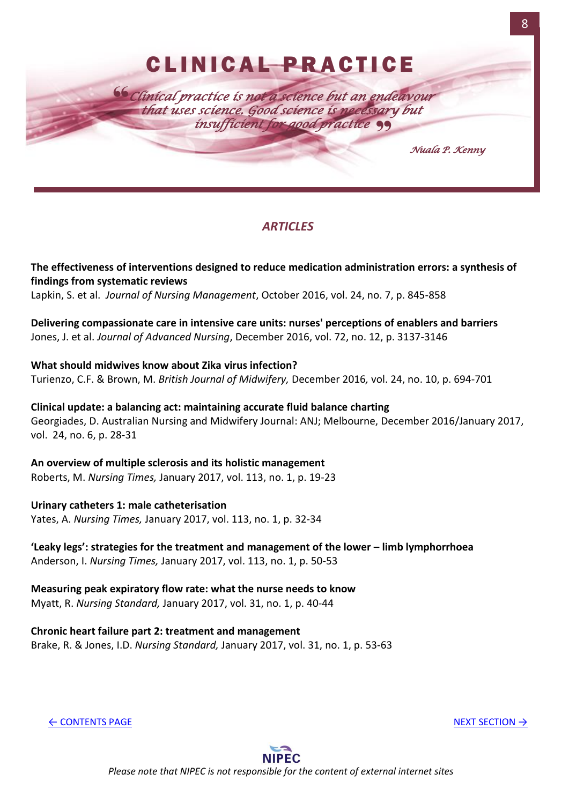<span id="page-8-0"></span>

## *ARTICLES*

**The effectiveness of interventions designed to reduce medication administration errors: a synthesis of findings from systematic reviews**

Lapkin, S. et al. *Journal of Nursing Management*, October 2016, vol. 24, no. 7, p. 845-858

**Delivering compassionate care in intensive care units: nurses' perceptions of enablers and barriers** Jones, J. et al. *Journal of Advanced Nursing*, December 2016, vol. 72, no. 12, p. 3137-3146

**What should midwives know about Zika virus infection?**  Turienzo, C.F. & Brown, M. *British Journal of Midwifery,* December 2016*,* vol. 24, no. 10, p. 694-701

**Clinical update: a balancing act: maintaining accurate fluid balance charting**  Georgiades, D. Australian Nursing and Midwifery Journal: ANJ; Melbourne, December 2016/January 2017, vol. 24, no. 6, p. 28-31

**An overview of multiple sclerosis and its holistic management**  Roberts, M. *Nursing Times,* January 2017, vol. 113, no. 1, p. 19-23

**Urinary catheters 1: male catheterisation** Yates, A. *Nursing Times,* January 2017, vol. 113, no. 1, p. 32-34

**'Leaky legs': strategies for the treatment and management of the lower – limb lymphorrhoea**  Anderson, I. *Nursing Times,* January 2017, vol. 113, no. 1, p. 50-53

**Measuring peak expiratory flow rate: what the nurse needs to know**  Myatt, R. *Nursing Standard,* January 2017, vol. 31, no. 1, p. 40-44

**Chronic heart failure part 2: treatment and management**  Brake, R. & Jones, I.D. *Nursing Standard,* January 2017, vol. 31, no. 1, p. 53-63

← [CONTENTS PAGE](#page-1-0) [NEXT SECTION](#page-9-0) → NEXT SECTION → NEXT SECTION → NEXT SECTION → NEXT SECTION → NEXT SECTION → NEXT SECTION → NEXT SECTION → NEXT SECTION → NEXT SECTION → NEXT SECTION → NEXT SECTION → NEXT SECTION → NEXT SECTI



**NIPEC** *Please note that NIPEC is not responsible for the content of external internet sites*